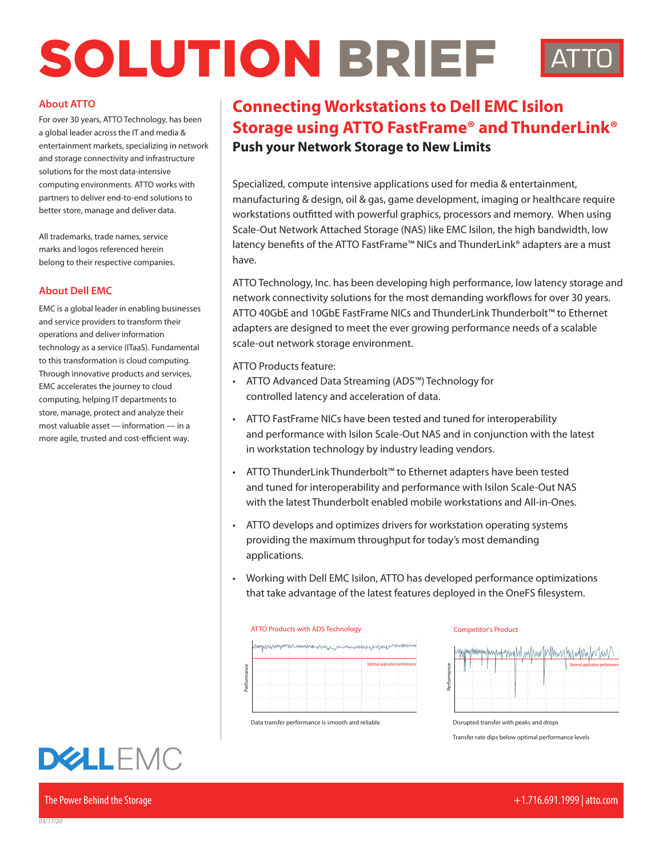# SOLUTION BRIEF

#### **About ATTO**

For over 30 years, ATTO Technology, has been a global leader across the IT and media & entertainment markets, specializing in network and storage connectivity and infrastructure solutions for the most data-intensive computing environments. ATTO works with partners to deliver end-to-end solutions to better store, manage and deliver data.

All trademarks, trade names, service marks and logos referenced herein belong to their respective companies.

#### **About Dell EMC**

EMC is a global leader in enabling businesses and service providers to transform their operations and deliver information technology as a service (ITaaS). Fundamental to this transformation is cloud computing. Through innovative products and services, EMC accelerates the journey to cloud computing, helping IT departments to store, manage, protect and analyze their most valuable asset — information — in a more agile, trusted and cost-efficient way.

## **DELLEMC**

The Power Behind the Storage +1.716.691.1999 | atto.com

### **Push your Network Storage to New Limits Connecting Workstations to Dell EMC Isilon Storage using ATTO FastFrame® and ThunderLink®**

Specialized, compute intensive applications used for media & entertainment, manufacturing & design, oil & gas, game development, imaging or healthcare require workstations outfitted with powerful graphics, processors and memory. When using Scale-Out Network Attached Storage (NAS) like EMC Isilon, the high bandwidth, low latency benefits of the ATTO FastFrame™ NICs and ThunderLink® adapters are a must have.

ATTO Technology, Inc. has been developing high performance, low latency storage and network connectivity solutions for the most demanding workflows for over 30 years. ATTO 40GbE and 10GbE FastFrame NICs and ThunderLink Thunderbolt™ to Ethernet adapters are designed to meet the ever growing performance needs of a scalable scale-out network storage environment.

ATTO Products feature:

- ATTO Advanced Data Streaming (ADS™) Technology for controlled latency and acceleration of data.
- ATTO FastFrame NICs have been tested and tuned for interoperability and performance with Isilon Scale-Out NAS and in conjunction with the latest in workstation technology by industry leading vendors.
- ATTO ThunderLink Thunderbolt™ to Ethernet adapters have been tested and tuned for interoperability and performance with Isilon Scale-Out NAS with the latest Thunderbolt enabled mobile workstations and All-in-Ones.
- ATTO develops and optimizes drivers for workstation operating systems **ATTO DETECTS IN EXTENSION CONSULTER CONSULTER** CONSULTER THE MODEL PRODUCTS PRODUCTS PRODUCTS PRODUCTS PRODUCTS ADDITIONAL PRODUCTS PRODUCTS AND NOT ADDITIONAL PRODUCTS AND NOT ADDITIONAL PRODUCTS ADDITIONAL PRODUCTS ADDI applications.
- Working with Dell EMC Isilon, ATTO has developed performance optimizations that take advantage of the latest features deployed in the OneFS filesystem.



Data transfer performance is smooth and reliable

**Competitor's Product** 



Disrupted transfer with peaks and drops

Transfer rate dips below optimal performance levels